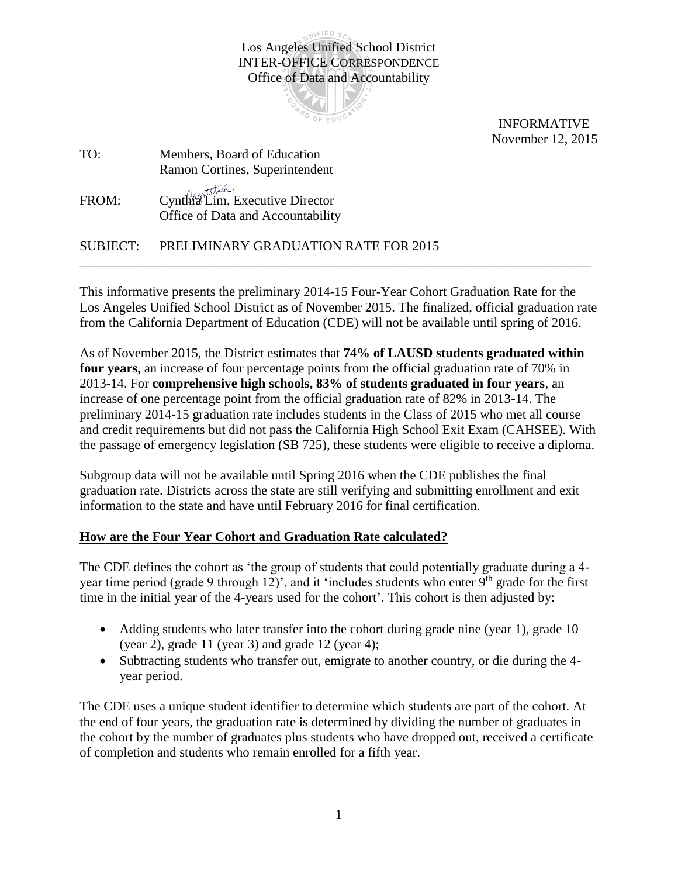INIFIED SC Los Angeles Unified School District INTER-OFFICE CORRESPONDENCE Office of Data and Accountability



 INFORMATIVE November 12, 2015

| TO:   | Members, Board of Education                                          |
|-------|----------------------------------------------------------------------|
|       | Ramon Cortines, Superintendent                                       |
| FROM: | Cynthia Lim, Executive Director<br>Office of Data and Accountability |

SUBJECT: PRELIMINARY GRADUATION RATE FOR 2015 \_\_\_\_\_\_\_\_\_\_\_\_\_\_\_\_\_\_\_\_\_\_\_\_\_\_\_\_\_\_\_\_\_\_\_\_\_\_\_\_\_\_\_\_\_\_\_\_\_\_\_\_\_\_\_\_\_\_\_\_\_\_\_\_\_\_\_\_\_\_\_\_\_\_\_\_\_

This informative presents the preliminary 2014-15 Four-Year Cohort Graduation Rate for the Los Angeles Unified School District as of November 2015. The finalized, official graduation rate from the California Department of Education (CDE) will not be available until spring of 2016.

As of November 2015, the District estimates that **74% of LAUSD students graduated within four years,** an increase of four percentage points from the official graduation rate of 70% in 2013-14. For **comprehensive high schools, 83% of students graduated in four years**, an increase of one percentage point from the official graduation rate of 82% in 2013-14. The preliminary 2014-15 graduation rate includes students in the Class of 2015 who met all course and credit requirements but did not pass the California High School Exit Exam (CAHSEE). With the passage of emergency legislation (SB 725), these students were eligible to receive a diploma.

Subgroup data will not be available until Spring 2016 when the CDE publishes the final graduation rate. Districts across the state are still verifying and submitting enrollment and exit information to the state and have until February 2016 for final certification.

## **How are the Four Year Cohort and Graduation Rate calculated?**

The CDE defines the cohort as 'the group of students that could potentially graduate during a 4 year time period (grade 9 through 12)', and it 'includes students who enter  $9<sup>th</sup>$  grade for the first time in the initial year of the 4-years used for the cohort'. This cohort is then adjusted by:

- Adding students who later transfer into the cohort during grade nine (year 1), grade 10 (year 2), grade 11 (year 3) and grade 12 (year 4);
- Subtracting students who transfer out, emigrate to another country, or die during the 4 year period.

The CDE uses a unique student identifier to determine which students are part of the cohort. At the end of four years, the graduation rate is determined by dividing the number of graduates in the cohort by the number of graduates plus students who have dropped out, received a certificate of completion and students who remain enrolled for a fifth year.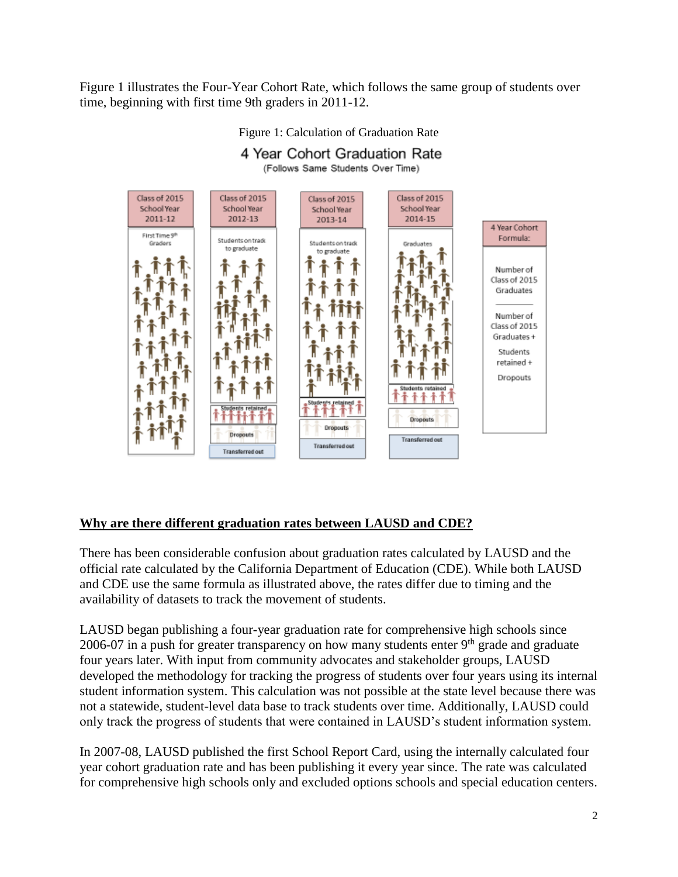Figure 1 illustrates the Four-Year Cohort Rate, which follows the same group of students over time, beginning with first time 9th graders in 2011-12.



## Figure 1: Calculation of Graduation Rate 4 Year Cohort Graduation Rate

## **Why are there different graduation rates between LAUSD and CDE?**

There has been considerable confusion about graduation rates calculated by LAUSD and the official rate calculated by the California Department of Education (CDE). While both LAUSD and CDE use the same formula as illustrated above, the rates differ due to timing and the availability of datasets to track the movement of students.

LAUSD began publishing a four-year graduation rate for comprehensive high schools since 2006-07 in a push for greater transparency on how many students enter  $9<sup>th</sup>$  grade and graduate four years later. With input from community advocates and stakeholder groups, LAUSD developed the methodology for tracking the progress of students over four years using its internal student information system. This calculation was not possible at the state level because there was not a statewide, student-level data base to track students over time. Additionally, LAUSD could only track the progress of students that were contained in LAUSD's student information system.

In 2007-08, LAUSD published the first School Report Card, using the internally calculated four year cohort graduation rate and has been publishing it every year since. The rate was calculated for comprehensive high schools only and excluded options schools and special education centers.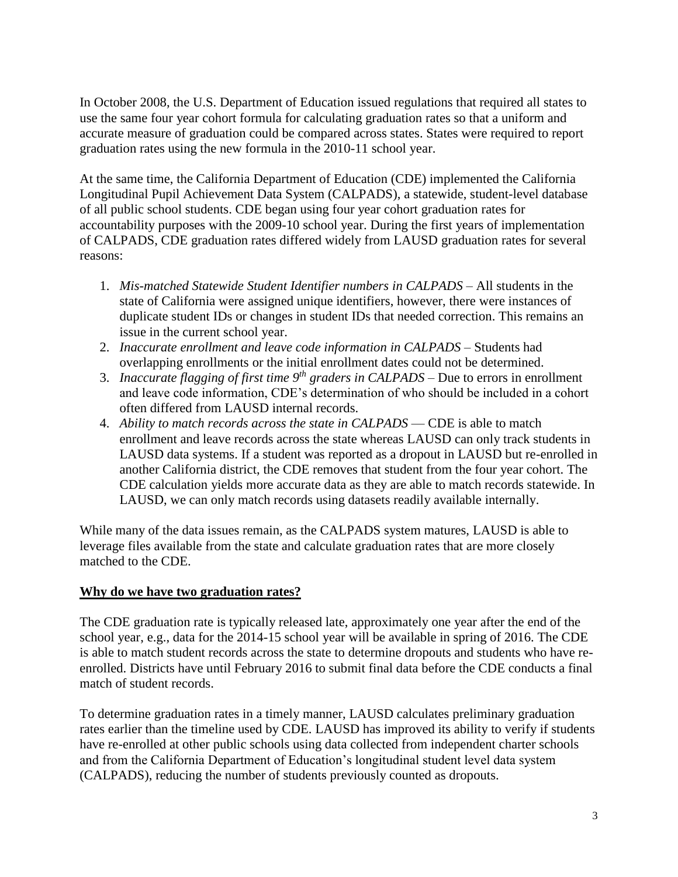In October 2008, the U.S. Department of Education issued regulations that required all states to use the same four year cohort formula for calculating graduation rates so that a uniform and accurate measure of graduation could be compared across states. States were required to report graduation rates using the new formula in the 2010-11 school year.

At the same time, the California Department of Education (CDE) implemented the California Longitudinal Pupil Achievement Data System (CALPADS), a statewide, student-level database of all public school students. CDE began using four year cohort graduation rates for accountability purposes with the 2009-10 school year. During the first years of implementation of CALPADS, CDE graduation rates differed widely from LAUSD graduation rates for several reasons:

- 1. *Mis-matched Statewide Student Identifier numbers in CALPADS* All students in the state of California were assigned unique identifiers, however, there were instances of duplicate student IDs or changes in student IDs that needed correction. This remains an issue in the current school year.
- 2. *Inaccurate enrollment and leave code information in CALPADS* Students had overlapping enrollments or the initial enrollment dates could not be determined.
- 3. *Inaccurate flagging of first time 9th graders in CALPADS* Due to errors in enrollment and leave code information, CDE's determination of who should be included in a cohort often differed from LAUSD internal records.
- 4. *Ability to match records across the state in CALPADS* CDE is able to match enrollment and leave records across the state whereas LAUSD can only track students in LAUSD data systems. If a student was reported as a dropout in LAUSD but re-enrolled in another California district, the CDE removes that student from the four year cohort. The CDE calculation yields more accurate data as they are able to match records statewide. In LAUSD, we can only match records using datasets readily available internally.

While many of the data issues remain, as the CALPADS system matures, LAUSD is able to leverage files available from the state and calculate graduation rates that are more closely matched to the CDE.

## **Why do we have two graduation rates?**

The CDE graduation rate is typically released late, approximately one year after the end of the school year, e.g., data for the 2014-15 school year will be available in spring of 2016. The CDE is able to match student records across the state to determine dropouts and students who have reenrolled. Districts have until February 2016 to submit final data before the CDE conducts a final match of student records.

To determine graduation rates in a timely manner, LAUSD calculates preliminary graduation rates earlier than the timeline used by CDE. LAUSD has improved its ability to verify if students have re-enrolled at other public schools using data collected from independent charter schools and from the California Department of Education's longitudinal student level data system (CALPADS), reducing the number of students previously counted as dropouts.